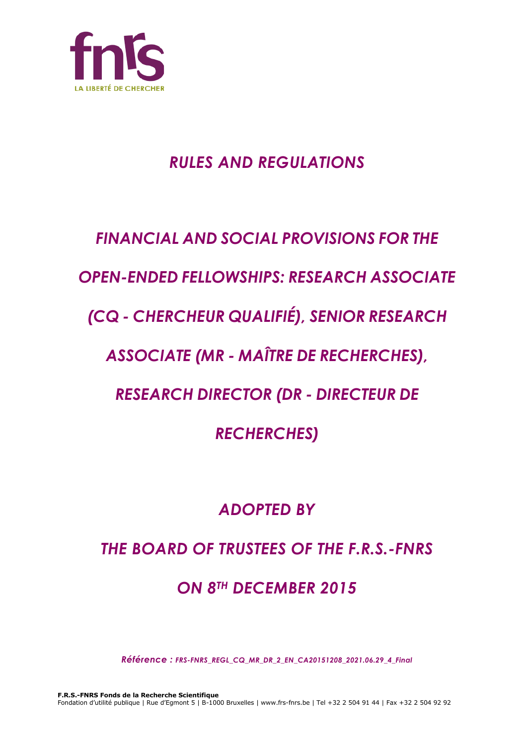

## *RULES AND REGULATIONS*

# *FINANCIAL AND SOCIAL PROVISIONS FOR THE*

## *OPEN-ENDED FELLOWSHIPS: RESEARCH ASSOCIATE*

## *(CQ - CHERCHEUR QUALIFIÉ), SENIOR RESEARCH*

### *ASSOCIATE (MR - MAÎTRE DE RECHERCHES),*

### *RESEARCH DIRECTOR (DR - DIRECTEUR DE*

*RECHERCHES)*

### *ADOPTED BY*

### *THE BOARD OF TRUSTEES OF THE F.R.S.-FNRS*

## *ON 8TH DECEMBER 2015*

*Référence : FRS-FNRS\_REGL\_CQ\_MR\_DR\_2\_EN\_CA20151208\_2021.06.29\_4\_Final*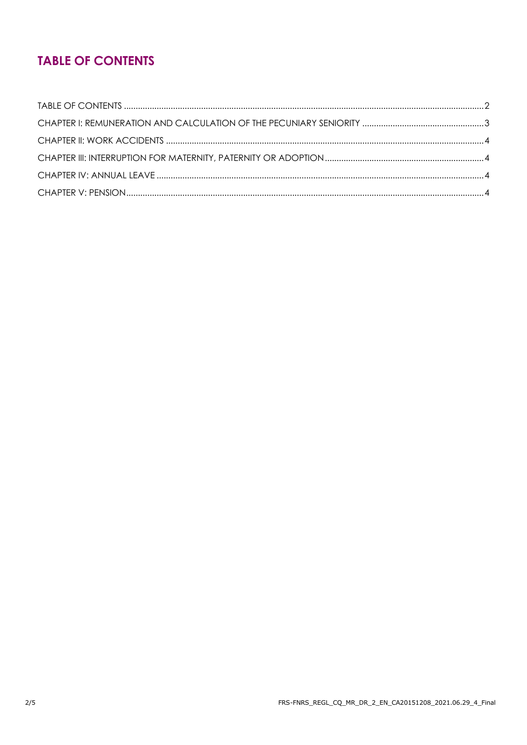### **TABLE OF CONTENTS**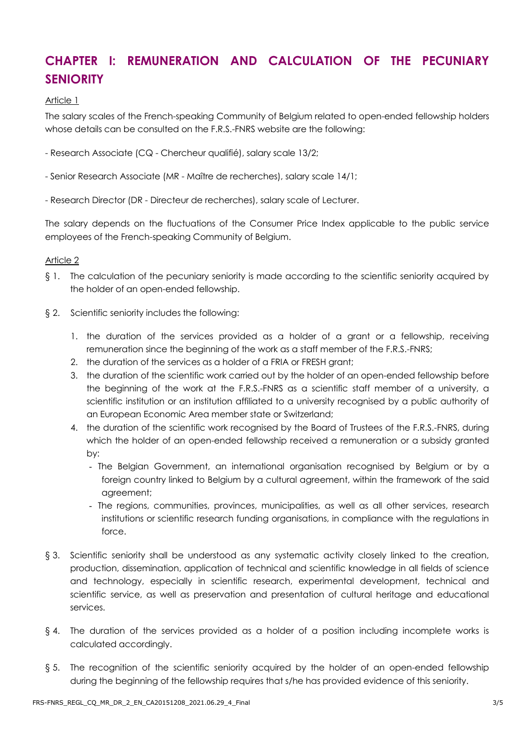### **CHAPTER I: REMUNERATION AND CALCULATION OF THE PECUNIARY SENIORITY**

#### Article 1

The salary scales of the French-speaking Community of Belgium related to open-ended fellowship holders whose details can be consulted on the F.R.S.-FNRS website are the following:

- Research Associate (CQ Chercheur qualifié), salary scale 13/2;
- Senior Research Associate (MR Maître de recherches), salary scale 14/1;
- Research Director (DR Directeur de recherches), salary scale of Lecturer.

The salary depends on the fluctuations of the Consumer Price Index applicable to the public service employees of the French-speaking Community of Belgium.

#### Article 2

- § 1. The calculation of the pecuniary seniority is made according to the scientific seniority acquired by the holder of an open-ended fellowship.
- § 2. Scientific seniority includes the following:
	- 1. the duration of the services provided as a holder of a grant or a fellowship, receiving remuneration since the beginning of the work as a staff member of the F.R.S.-FNRS;
	- 2. the duration of the services as a holder of a FRIA or FRESH grant;
	- 3. the duration of the scientific work carried out by the holder of an open-ended fellowship before the beginning of the work at the F.R.S.-FNRS as a scientific staff member of a university, a scientific institution or an institution affiliated to a university recognised by a public authority of an European Economic Area member state or Switzerland;
	- 4. the duration of the scientific work recognised by the Board of Trustees of the F.R.S.-FNRS, during which the holder of an open-ended fellowship received a remuneration or a subsidy granted by:
		- The Belgian Government, an international organisation recognised by Belgium or by a foreign country linked to Belgium by a cultural agreement, within the framework of the said agreement;
		- The regions, communities, provinces, municipalities, as well as all other services, research institutions or scientific research funding organisations, in compliance with the regulations in force.
- § 3. Scientific seniority shall be understood as any systematic activity closely linked to the creation, production, dissemination, application of technical and scientific knowledge in all fields of science and technology, especially in scientific research, experimental development, technical and scientific service, as well as preservation and presentation of cultural heritage and educational services.
- § 4. The duration of the services provided as a holder of a position including incomplete works is calculated accordingly.
- § 5. The recognition of the scientific seniority acquired by the holder of an open-ended fellowship during the beginning of the fellowship requires that s/he has provided evidence of this seniority.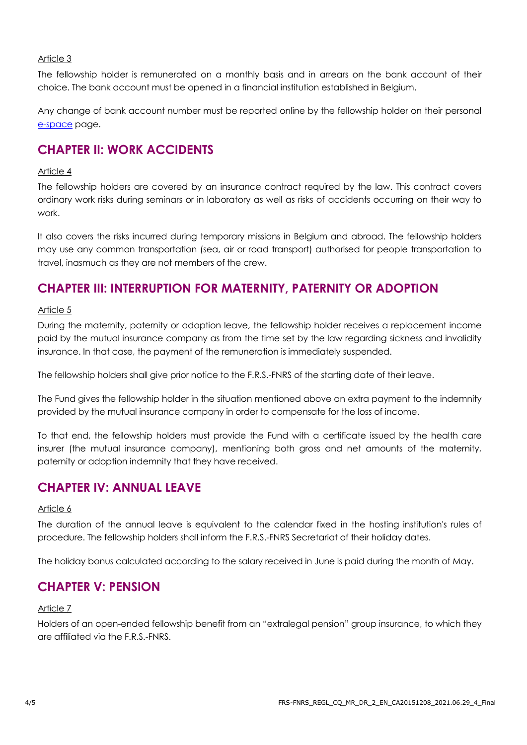#### Article 3

The fellowship holder is remunerated on a monthly basis and in arrears on the bank account of their choice. The bank account must be opened in a financial institution established in Belgium.

Any change of bank account number must be reported online by the fellowship holder on their personal e[-space](https://e-space.frs-fnrs.be/) page.

### **CHAPTER II: WORK ACCIDENTS**

#### Article 4

The fellowship holders are covered by an insurance contract required by the law. This contract covers ordinary work risks during seminars or in laboratory as well as risks of accidents occurring on their way to work.

It also covers the risks incurred during temporary missions in Belgium and abroad. The fellowship holders may use any common transportation (sea, air or road transport) authorised for people transportation to travel, inasmuch as they are not members of the crew.

### **CHAPTER III: INTERRUPTION FOR MATERNITY, PATERNITY OR ADOPTION**

#### Article 5

During the maternity, paternity or adoption leave, the fellowship holder receives a replacement income paid by the mutual insurance company as from the time set by the law regarding sickness and invalidity insurance. In that case, the payment of the remuneration is immediately suspended.

The fellowship holders shall give prior notice to the F.R.S.-FNRS of the starting date of their leave.

The Fund gives the fellowship holder in the situation mentioned above an extra payment to the indemnity provided by the mutual insurance company in order to compensate for the loss of income.

To that end, the fellowship holders must provide the Fund with a certificate issued by the health care insurer (the mutual insurance company), mentioning both gross and net amounts of the maternity, paternity or adoption indemnity that they have received.

### **CHAPTER IV: ANNUAL LEAVE**

#### Article 6

The duration of the annual leave is equivalent to the calendar fixed in the hosting institution's rules of procedure. The fellowship holders shall inform the F.R.S.-FNRS Secretariat of their holiday dates.

The holiday bonus calculated according to the salary received in June is paid during the month of May.

### **CHAPTER V: PENSION**

#### Article 7

Holders of an open-ended fellowship benefit from an "extralegal pension" group insurance, to which they are affiliated via the F.R.S.-FNRS.